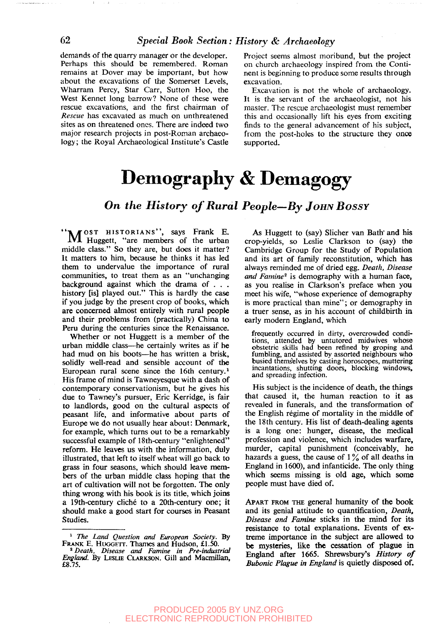demands of the quarry manager or the developer. Perhaps this should be remembered. Roman remains at Dover may be important, but how about the excavations of the Somerset Levels, Wharram Percy, Star Carr, Sutton Hoo, the West Kennet long barrow? None of these were rescue excavations, and the first chairman of *Rescue* has excavated as much on unthreatened sites as on threatened ones. There are indeed two major research projects in post-Roman archaeology; the Royal Archaeological Institute's Castle Project seems almost moribund, but the project on church archaeology inspired from the Continent is beginning to produce some results through excavation.

Excavation is not the whole of archaeology. It is the servant of the archaeologist, not his master. The rescue archaeologist must remember this and occasionally lift his eyes from exciting finds to the general advancement of his subject, from the post-holes to the structure they once supported.

# Demography & Demagogy

## *On the History of Rural People—By JOHN BOSSY*

"N JOST HISTORIANS", says Frank E. 1VJL Huggett, "are members of the urban middle class." So they are, but does it matter? It matters to him, because he thinks it has led them to undervalue the importance of rural communities, to treat them as an "unchanging background against which the drama of . . . history [is] played out." This is hardly the case if you judge by the present crop of books, which are concerned almost entirely with rural people and their problems from (practically) China to Peru during the centuries since the Renaissance.

Whether or not Huggett is a member of the urban middle class—he certainly writes as if he had mud on his boots—he has written a brisk, solidly well-read and sensible account of the European rural scene since the 16th century.<sup>1</sup> His frame of mind is Tawneyesque with a dash of contemporary conservationism, but he gives his due to Tawney's pursuer, Eric Kerridge, is fair to landlords, good on the cultural aspects of peasant life, and informative about parts of Europe we do not usually hear about: Denmark, for example, which turns out to be a remarkably successful example of 18th-century "enlightened" reform. He leaves us with the information, duly illustrated, that left to itself wheat will go back to grass in four seasons, which should leave members of the urban middle class hoping that the art of cultivation will not be forgotten. The only thing wrong with his book is its title, which joins a 19th-century cliche to a 20th-century one; it should make a good start for courses in Peasant Studies.

As Huggett to (say) Slicher van Bath" and his crop-yields, so Leslie Clarkson to (say) the Cambridge Group for the Study of Population and its art of family reconstitution, which has always reminded me of dried egg. *Death, Disease* and Famine<sup>2</sup> is demography with a human face, as you realise in Clarkson's preface when you meet his wife, "whose experience of demography is more practical than mine"; or demography in a truer sense, as in his account of childbirth in early modern England, which

frequently occurred in dirty, overcrowded conditions, attended by untutored midwives whose obstetric skills had been refined by groping and fumbling, and assisted by assorted neighbours who busied themselves by casting horoscopes, muttering incantations, shutting doors, blocking windows, and spreading infection.

His subject is the incidence of death, the things that caused it, the human reaction to it as revealed in funerals, and the transformation of the English régime of mortality in the middle of the 18th century. His list of death-dealing agents is a long one: hunger, disease, the medical profession and violence, which includes warfare, murder, capital punishment (conceivably, he hazards a guess, the cause of  $1\%$  of all deaths in England in 1600), and infanticide. The only thing which seems missing is old age, which some people must have died of.

APART FROM THE general humanity of the book and its genial attitude to quantification, *Death, Disease and Famine* sticks in the mind for its resistance to total explanations. Events of extreme importance in the subject are allowed to be mysteries, like the cessation of plague in England after 1665. Shrewsbury's *History of Bubonic Plague in England* is quietly disposed of.

#### PRODUCED 2005 BY UNZ.ORG ELECTRONIC REPRODUCTION PROHIBITED

<sup>1</sup>  *The Land Question and European Society.* By FRANK E. HUGGETT. Thames and Hudson, £1.50.

<sup>2</sup>  *Death, Disease and Famine in Pre-industrial England.* By LESLIE CLARKSON. Gill and Macmillan, £8.75.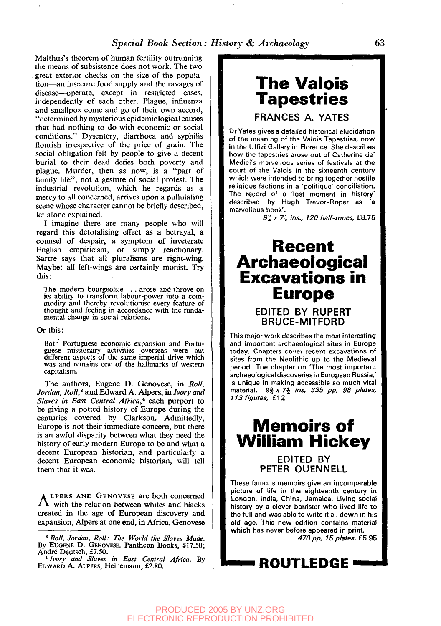#### *Special Book Section: History & Archaeology* 63

Malthus's theorem of human fertility outrunning the means of subsistence does not work. The two great exterior checks on the size of the population—an insecure food supply and the ravages of disease—operate, except in restricted cases, independently of each other. Plague, influenza and smallpox come and go of their own accord, "determined by mysterious epidemiological causes that had nothing to do with economic or social conditions." Dysentery, diarrhoea and syphilis flourish irrespective of the price of grain. The social obligation felt by people to give a decent burial to their dead defies both poverty and plague. Murder, then as now, is a "part of family life", not a gesture of social protest. The industrial revolution, which he regards as a mercy to all concerned, arrives upon a pullulating scene whose character cannot be briefly described, let alone explained.

I imagine there are many people who will regard this detotalising effect as a betrayal, a counsel of despair, a symptom of inveterate English empiricism, or simply reactionary. Sartre says that all pluralisms are right-wing. Maybe: all left-wings are certainly monist. Try this:

The modern bourgeoisie . . . arose and throve on its ability to transform labour-power into a commodity and thereby revolutionise every feature of thought and feeling in accordance with the fundamental change in social relations.

#### Or this:

 $\bar{1}$  if

Both Portuguese economic expansion and Portuguese missionary activities overseas were but different aspects of the same imperial drive which was and remains one of the hallmarks of western capitalism.

The authors, Eugene D. Genovese, in *Roll, Jordan, Roll,<sup>3</sup>* and Edward A. Alpers, in *Ivory and Slaves in East Central Africa,\** each purport to be giving a potted history of Europe during the centuries covered by Clarkson. Admittedly, Europe is not their immediate concern, but there is an awful disparity between what they need the history of early modern Europe to be and what a decent European historian, and particularly a decent European economic historian, will tell them that it was.

 $A$  LPERS AND GENOVESE are both concerned<br>We with the relation between whites and blacks LPERS AND GENOVESE are both concerned created in the age of European discovery and expansion, Alpers at one end, in Africa, Genovese

# **The Valois Tapestries**

FRANCES A. YATES

DrYates gives a detailed historical elucidation of the meaning of the Valois Tapestries, now in the Uffizi Gallery in Florence. She describes how the tapestries arose out of Catherine de' Medici's marvellous series of festivals at the court of the Valois in the sixteenth century which were intended to bring together hostile religious factions in a 'politique' conciliation. The record of a 'lost moment in history' described by Hugh Trevor-Roper as 'a marvellous book'.

*91 x 7i ins., 120 half-tones,* £8.75

## **Recent Archaeological Excavations in Europe**

#### EDITED BY RUPERT BRUCE-MITFORD

This major work describes the most interesting and important archaeological sites in Europe today. Chapters cover recent excavations of sites from the Neolithic up to the Medieval period. The chapter on 'The most important archaeological discoveries in European Russia,' is unique in making accessible so much vital material.  $9\frac{3}{4} \times 7\frac{1}{2}$  ins, 335 pp, 98 plates, 113 figures, £12

# **Memoirs of William Hickey**

EDITED BY PETER QUENNELL

These famous memoirs give an incomparable picture of life in the eighteenth century in London, India, China, Jamaica. Living social history by a clever barrister who lived life to the full and was able to write it all down in his old age. This new edition contains material which has never before appeared in print. *470 pp, 15 plates,* £5.95



<sup>3</sup>  *Roll, Jordan, Roll: The World the Slaves Made.* By EUGENE D. GENOVESE. Pantheon Books, \$17.50;

André Deutsch, £7.50.<br>\* *Ivory and Slaves in East Central Africa*. By<br>EDWARD A. ALPERS, Heinemann, £2.80.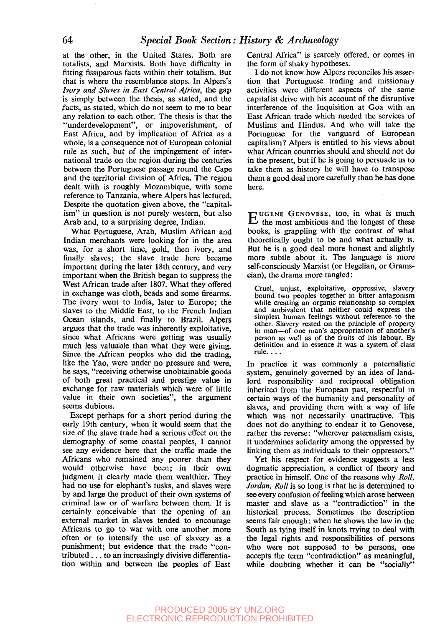at the other, in the United States. Both are totalists, and Marxists. Both have difficulty in fitting fissiparous facts within their totalism. But that is where the resemblance stops. In Alpers's *Ivory and Slaves in East Central Africa,* the gap is simply between the thesis, as stated, and the facts, as stated, which do not seem to me to bear any relation to each other. The thesis is that the "underdevelopment", or impoverishment, of East Africa, and by implication of Africa as a whole, is a consequence not of European colonial rule as such, but of the impingement of international trade on the region during the centuries between the Portuguese passage round the Cape and the territorial division of Africa. The region dealt with is roughly Mozambique, with some reference to Tanzania, where Alpers has lectured. Despite the quotation given above, the "capitalism" in question is not purely western, but also Arab and, to a surprising degree, Indian.

What Portuguese, Arab, Muslim African and Indian merchants were looking for in the area was, for a short time, gold, then ivory, and finally slaves; the slave trade here became important during the later 18th century, and very important when the British began to suppress the West African trade after 1807. What they offered in exchange was cloth, beads and some firearms. The ivory went to India, later to Europe; the slaves to the Middle East, to the French Indian Ocean islands, and finally to Brazil. Alpers argues that the trade was inherently exploitative, since what Africans were getting was usually much less valuable than what they were giving. Since the African peoples who did the trading, like the Yao, were under no pressure and were, he says, "receiving otherwise unobtainable goods of both great practical and prestige value in exchange for raw materials which were of little value in their own societies", the argument seems dubious.

Except perhaps for a short period during the early 19th century, when it would seem that the size of the slave trade had a serious effect on the demography of some coastal peoples, I cannot see any evidence here that the traffic made the Africans who remained any poorer than they would otherwise have been; in their own judgment it clearly made them wealthier. They had no use for elephant's tusks, and slaves were by and large the product of their own systems of criminal law or of warfare between them. It is certainly conceivable that the opening of an external market in slaves tended to encourage Africans to go to war with one another more often or to intensify the use of slavery as a punishment; but evidence that the trade "contributed .. . to an increasingly divisive differentiation within and between the peoples of East

Central Africa" is scarcely offered, or comes in the form of shaky hypotheses.

I do not know how Alpers reconciles his assertion that Portuguese trading and missionaiy activities were different aspects of the same capitalist drive with his account of the disruptive interference of the Inquisition at Goa with an East African trade which needed the services of Muslims and Hindus. And who will take the Portuguese for the vanguard of European capitalism? Alpers is entitled to his views about what African countries should and should not do in the present, but if he is going to persuade us to take them as history he will have to transpose them a good deal more carefully than he has done here.

E UGENE GENOVESE, too, in what is much<br>the most ambitious and the longest of these the most ambitious and the longest of these books, is grappling with the contrast of what theoretically ought to be and what actually is. But he is a good deal more honest and slightly more subtle about it. The language is more self-consciously Marxist (or Hegelian, or Gramscian), the drama more tangled:

Cruel, unjust, exploitative, oppressive, slavery bound two peoples together in bitter antagonism while creating an organic relationship so complex and ambivalent that neither could express the simplest human feelings without reference to the other. Slavery rested on the principle of property in man—of one man's appropriation of another's person as well as of the fruits of his labour. By definition and in essence it was a system of class rule. . ..

In practice it was commonly a paternalistic system, genuinely governed by an idea of landlord responsibility and reciprocal obligation inherited from the European past, respectful in certain ways of the humanity and personality of slaves, and providing them with a way of life which was not necessarily unattractive. This does not do anything to endear it to Genovese, rather the reverse: "wherever paternalism exists, it undermines solidarity among the oppressed by linking them as individuals to their oppressors."

Yet his respect for evidence suggests a less dogmatic appreciation, a conflict of theory and practice in himself. One of the reasons why *Roll, Jordan, Roll* is so long is that he is determined to see every confusion of feeling which arose between master and slave as a "contradiction" in the historical process. Sometimes the description seems fair enough: when he shows the law in the South as tying itself in knots trying to deal with the legal rights and responsibilities of persons who were not supposed to be persons, one accepts the term "contradiction" as meaningful, while doubting whether it can be "socially"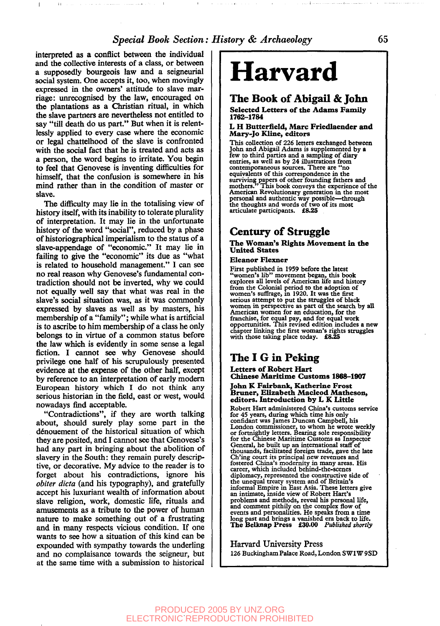interpreted as a conflict between the individual and the collective interests of a class, or between a supposedly bourgeois law and a seigneurial social system. One accepts it, too, when movingly expressed in the owners' attitude to slave marriage: unrecognised by the law, encouraged on the plantations as a Christian ritual, in which the slave partners are nevertheless not entitled to say "till death do us part." But when it is relentlessly applied to every case where the economic or legal chattelhood of the slave is confronted with the social fact that he is treated and acts as a person, the word begins to irritate. You begin to feel that Genovese is inventing difficulties for himself, that the confusion is somewhere in his mind rather than in the condition of master or slave.

 $\overline{1}$ 

 $\mathbf{H}$ 

The difficulty may lie in the totalising view of history itself, with its inability to tolerate plurality of interpretation. It may lie in the unfortunate history of the word "social", reduced by a phase of historiographical imperialism to the status of a slave-appendage of "economic." It may lie in failing to give the "economic" its due as "what is related to household management." I can see no real reason why Genovese's fundamental contradiction should not be inverted, why we could not equally well say that what was real in the slave's social situation was, as it was commonly expressed by slaves as well as by masters, his membership of a "family"; while what is artificial is to ascribe to him membership of a class he only belongs to in virtue of a common status before the law which is evidently in some sense a legal fiction. I cannot see why Genovese should privilege one half of his scrupulously presented evidence at the expense of the other half, except by reference to an interpretation of early modern European history which I do not think any serious historian in the field, east or west, would nowadays find acceptable.

"Contradictions", if they are worth talking about, should surely play some part in the denouement of the historical situation of which they are posited, and I cannot see that Genovese's had any part in bringing about the abolition of slavery in the South: they remain purely descriptive, or decorative. My advice to the reader is to forget about his contradictions, ignore his *obiter dicta* (and his typography), and gratefully accept his luxuriant wealth of information about slave religion, work, domestic life, rituals and amusements as a tribute to the power of human nature to make something out of a frustrating and in many respects vicious condition. If one wants to see how a situation of this kind can be expounded with sympathy towards the underling and no complaisance towards the seigneur, but at the same time with a submission to historical

# **Harvard**

## **The Book of Abigail & John**

#### **Selected Letters of the Adams Family 1762-1784**

#### **L H Butterfield, Marc Friedlaender and Mary-Jo Kline, editors**

This collection of 226 letters exchanged between John and Abigail Adams is supplemented by a few to third parties and a sampling of diary entries, as well as by 24 illustrations from contemporaneous sources. There are "no equivalents of this correspondence in the surviving papers of other founding fathers and mothers." This book conveys the experience of the American Revolutionary generation in the most personal and authentic way possible—through the thoughts and words of two of its most articulate participants. **£8.25**

## **Century of Struggle**

#### **The Woman's Rights Movement in the United States**

#### **Eleanor Flexner**

First published in 1959 before the latest "women's lib" movement began, this book explores all levels of American life and history from the Colonial period to the adoption of women's suffrage, in 1920. It was the first serious attempt to put the struggles of black women in perspective as part of the search by all American women for an education, for the franchise, for equal pay, and for equal work opportunities. This revised edition includes a new chapter linking the first woman's rights struggles with those taking place today. **£8.25**

### **The I G in Peking**

#### **Letters of Robert Hart Chinese Maritime Customs 1868-1907**

#### John K Fairbank, Katherine Frost **Bruner, Elizabeth Macleod Matheson, editors. Introduction by L K Little**

Robert Hart administered China's customs service for 45 years, during which time his only confidant was James Duncan Campbell, his London commissioner, to whom he wrote weekly or fortnightly letters. Bearing sole responsibility for the Chinese Maritime Customs as Inspector General, he built up an international staff of thousands, facilitated foreign trade, gave the late Ch'ing court its principal new revenues and fostered China's modernity in many areas. His career, which included behind-the-scenes diplomacy, represented the constructive side of the unequal treaty system and of Britain's informal Empire in East Asia. These letters give an intimate, inside view of Robert Hart's problems and methods, reveal his personal life, problems and methods, revear ins personal life,<br>and comment pithily on the complex flow of<br>events and personalities. He speaks from a time events and personalities. He speaks from a time<br>long past and brings a vanished era back to life.<br>The Belliman Pressa **£30.00***Published shortly* 

Harvard University Press 126 Buckingham Palace Road, London SWIW 9SD